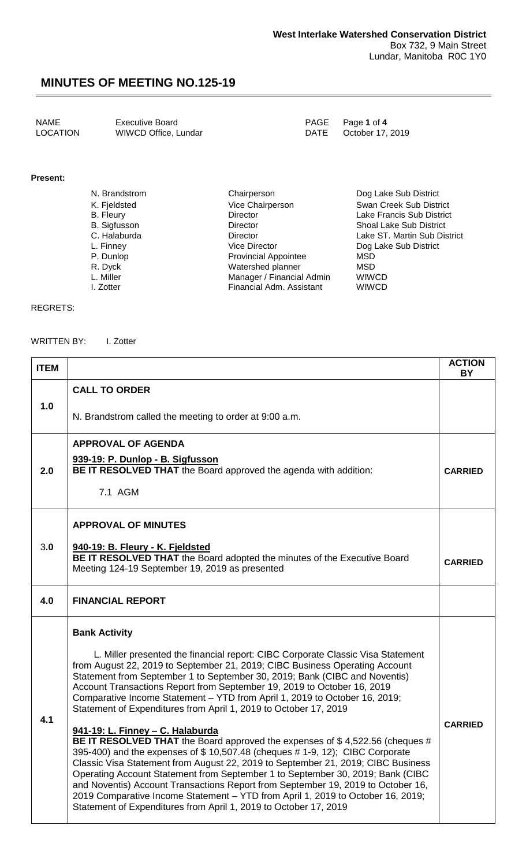NAME Executive Board<br>
LOCATION WIWCD Office, Lundar
PAGE Page 1 of 4
PAGE Page 1 of 4
PAGE PAGE POCTION
POLE WIWCD Office, Lundar

### **Present:**

| N. Brandstrom       | Chairperson                 | Dog Lake Sub District          |
|---------------------|-----------------------------|--------------------------------|
| K. Fjeldsted        | Vice Chairperson            | Swan Creek Sub District        |
| <b>B.</b> Fleury    | <b>Director</b>             | Lake Francis Sub District      |
| <b>B.</b> Sigfusson | <b>Director</b>             | <b>Shoal Lake Sub District</b> |
| C. Halaburda        | <b>Director</b>             | Lake ST. Martin Sub District   |
| L. Finney           | Vice Director               | Dog Lake Sub District          |
| P. Dunlop           | <b>Provincial Appointee</b> | MSD                            |
| R. Dyck             | Watershed planner           | MSD                            |
| L. Miller           | Manager / Financial Admin   | <b>WIWCD</b>                   |
| I. Zotter           | Financial Adm. Assistant    | <b>WIWCD</b>                   |

### REGRETS:

WRITTEN BY: I. Zotter

| <b>ITEM</b> |                                                                                                                                                                                                                                                                                                                                                                                                                                                                                                                                                                                                                                                                                                                                                                                                                                                                                                                                                                                                                                                                                                                       | <b>ACTION</b><br><b>BY</b> |
|-------------|-----------------------------------------------------------------------------------------------------------------------------------------------------------------------------------------------------------------------------------------------------------------------------------------------------------------------------------------------------------------------------------------------------------------------------------------------------------------------------------------------------------------------------------------------------------------------------------------------------------------------------------------------------------------------------------------------------------------------------------------------------------------------------------------------------------------------------------------------------------------------------------------------------------------------------------------------------------------------------------------------------------------------------------------------------------------------------------------------------------------------|----------------------------|
| 1.0         | <b>CALL TO ORDER</b><br>N. Brandstrom called the meeting to order at 9:00 a.m.                                                                                                                                                                                                                                                                                                                                                                                                                                                                                                                                                                                                                                                                                                                                                                                                                                                                                                                                                                                                                                        |                            |
| 2.0         | <b>APPROVAL OF AGENDA</b><br>939-19: P. Dunlop - B. Sigfusson<br><b>BE IT RESOLVED THAT</b> the Board approved the agenda with addition:<br>7.1 AGM                                                                                                                                                                                                                                                                                                                                                                                                                                                                                                                                                                                                                                                                                                                                                                                                                                                                                                                                                                   | <b>CARRIED</b>             |
| 3.0         | <b>APPROVAL OF MINUTES</b><br>940-19: B. Fleury - K. Fjeldsted<br>BE IT RESOLVED THAT the Board adopted the minutes of the Executive Board<br>Meeting 124-19 September 19, 2019 as presented                                                                                                                                                                                                                                                                                                                                                                                                                                                                                                                                                                                                                                                                                                                                                                                                                                                                                                                          | <b>CARRIED</b>             |
| 4.0         | <b>FINANCIAL REPORT</b>                                                                                                                                                                                                                                                                                                                                                                                                                                                                                                                                                                                                                                                                                                                                                                                                                                                                                                                                                                                                                                                                                               |                            |
| 4.1         | <b>Bank Activity</b><br>L. Miller presented the financial report: CIBC Corporate Classic Visa Statement<br>from August 22, 2019 to September 21, 2019; CIBC Business Operating Account<br>Statement from September 1 to September 30, 2019; Bank (CIBC and Noventis)<br>Account Transactions Report from September 19, 2019 to October 16, 2019<br>Comparative Income Statement - YTD from April 1, 2019 to October 16, 2019;<br>Statement of Expenditures from April 1, 2019 to October 17, 2019<br>941-19: L. Finney - C. Halaburda<br>BE IT RESOLVED THAT the Board approved the expenses of \$4,522.56 (cheques #<br>395-400) and the expenses of \$10,507.48 (cheques #1-9, 12); CIBC Corporate<br>Classic Visa Statement from August 22, 2019 to September 21, 2019; CIBC Business<br>Operating Account Statement from September 1 to September 30, 2019; Bank (CIBC<br>and Noventis) Account Transactions Report from September 19, 2019 to October 16,<br>2019 Comparative Income Statement - YTD from April 1, 2019 to October 16, 2019;<br>Statement of Expenditures from April 1, 2019 to October 17, 2019 | <b>CARRIED</b>             |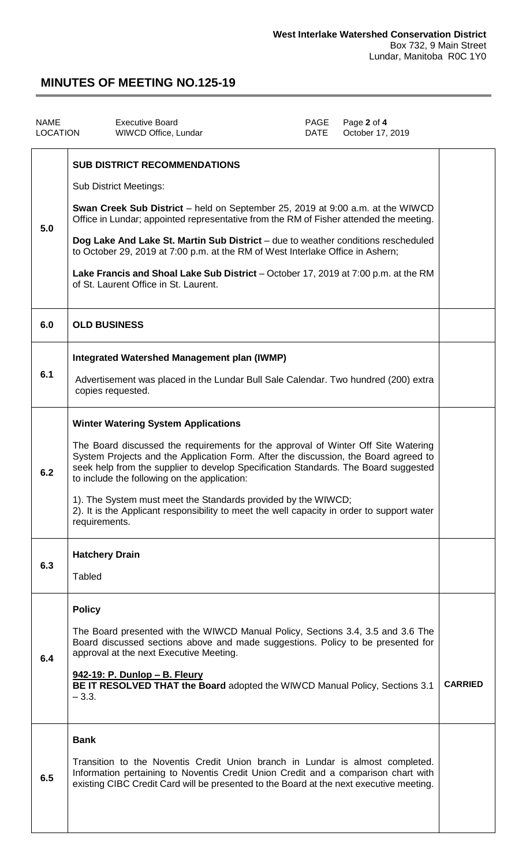| <b>NAME</b><br>LOCATION | <b>Executive Board</b><br>WIWCD Office, Lundar                                                                                                                                                                                                                                                                                                                                                                                                                                                                                                                | PAGE<br>DATE | Page 2 of 4<br>October 17, 2019 |                |
|-------------------------|---------------------------------------------------------------------------------------------------------------------------------------------------------------------------------------------------------------------------------------------------------------------------------------------------------------------------------------------------------------------------------------------------------------------------------------------------------------------------------------------------------------------------------------------------------------|--------------|---------------------------------|----------------|
| 5.0                     | <b>SUB DISTRICT RECOMMENDATIONS</b><br><b>Sub District Meetings:</b><br><b>Swan Creek Sub District</b> – held on September 25, 2019 at 9:00 a.m. at the WIWCD<br>Office in Lundar; appointed representative from the RM of Fisher attended the meeting.<br>Dog Lake And Lake St. Martin Sub District - due to weather conditions rescheduled<br>to October 29, 2019 at 7:00 p.m. at the RM of West Interlake Office in Ashern;<br>Lake Francis and Shoal Lake Sub District – October 17, 2019 at 7:00 p.m. at the RM<br>of St. Laurent Office in St. Laurent. |              |                                 |                |
| 6.0                     | <b>OLD BUSINESS</b>                                                                                                                                                                                                                                                                                                                                                                                                                                                                                                                                           |              |                                 |                |
| 6.1                     | <b>Integrated Watershed Management plan (IWMP)</b><br>Advertisement was placed in the Lundar Bull Sale Calendar. Two hundred (200) extra<br>copies requested.                                                                                                                                                                                                                                                                                                                                                                                                 |              |                                 |                |
| 6.2                     | <b>Winter Watering System Applications</b><br>The Board discussed the requirements for the approval of Winter Off Site Watering<br>System Projects and the Application Form. After the discussion, the Board agreed to<br>seek help from the supplier to develop Specification Standards. The Board suggested<br>to include the following on the application:<br>1). The System must meet the Standards provided by the WIWCD;<br>2). It is the Applicant responsibility to meet the well capacity in order to support water<br>requirements.                 |              |                                 |                |
| 6.3                     | <b>Hatchery Drain</b><br><b>Tabled</b>                                                                                                                                                                                                                                                                                                                                                                                                                                                                                                                        |              |                                 |                |
| 6.4                     | <b>Policy</b><br>The Board presented with the WIWCD Manual Policy, Sections 3.4, 3.5 and 3.6 The<br>Board discussed sections above and made suggestions. Policy to be presented for<br>approval at the next Executive Meeting.<br><u>942-19: P. Dunlop - B. Fleury</u><br>BE IT RESOLVED THAT the Board adopted the WIWCD Manual Policy, Sections 3.1<br>$-3.3.$                                                                                                                                                                                              |              |                                 | <b>CARRIED</b> |
| 6.5                     | <b>Bank</b><br>Transition to the Noventis Credit Union branch in Lundar is almost completed.<br>Information pertaining to Noventis Credit Union Credit and a comparison chart with<br>existing CIBC Credit Card will be presented to the Board at the next executive meeting.                                                                                                                                                                                                                                                                                 |              |                                 |                |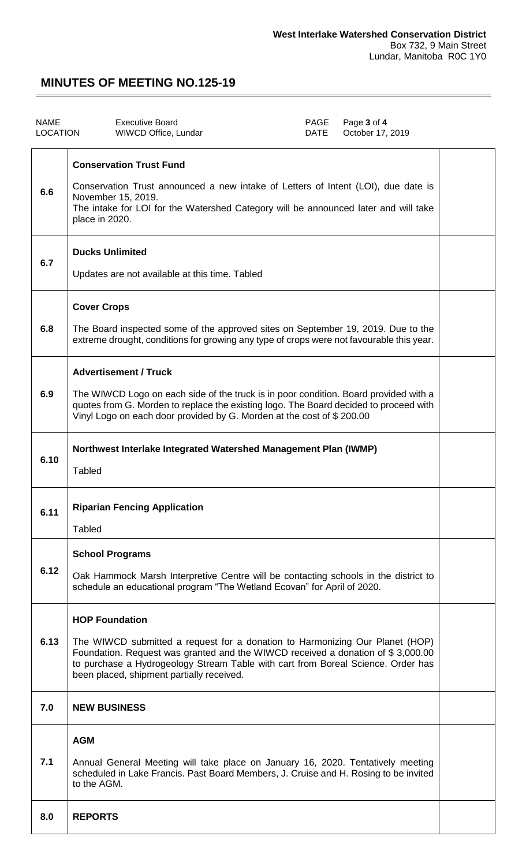| <b>NAME</b><br><b>LOCATION</b> | <b>Executive Board</b><br>PAGE<br>Page 3 of 4<br>October 17, 2019<br>WIWCD Office, Lundar<br>DATE                                                                                                                                                                                                                         |  |
|--------------------------------|---------------------------------------------------------------------------------------------------------------------------------------------------------------------------------------------------------------------------------------------------------------------------------------------------------------------------|--|
| 6.6                            | <b>Conservation Trust Fund</b><br>Conservation Trust announced a new intake of Letters of Intent (LOI), due date is<br>November 15, 2019.<br>The intake for LOI for the Watershed Category will be announced later and will take<br>place in 2020.                                                                        |  |
| 6.7                            | <b>Ducks Unlimited</b><br>Updates are not available at this time. Tabled                                                                                                                                                                                                                                                  |  |
| 6.8                            | <b>Cover Crops</b><br>The Board inspected some of the approved sites on September 19, 2019. Due to the<br>extreme drought, conditions for growing any type of crops were not favourable this year.                                                                                                                        |  |
| 6.9                            | <b>Advertisement / Truck</b><br>The WIWCD Logo on each side of the truck is in poor condition. Board provided with a<br>quotes from G. Morden to replace the existing logo. The Board decided to proceed with<br>Vinyl Logo on each door provided by G. Morden at the cost of \$200.00                                    |  |
| 6.10                           | Northwest Interlake Integrated Watershed Management Plan (IWMP)<br><b>Tabled</b>                                                                                                                                                                                                                                          |  |
| 6.11                           | <b>Riparian Fencing Application</b><br><b>Tabled</b>                                                                                                                                                                                                                                                                      |  |
| 6.12                           | <b>School Programs</b><br>Oak Hammock Marsh Interpretive Centre will be contacting schools in the district to<br>schedule an educational program "The Wetland Ecovan" for April of 2020.                                                                                                                                  |  |
| 6.13                           | <b>HOP Foundation</b><br>The WIWCD submitted a request for a donation to Harmonizing Our Planet (HOP)<br>Foundation. Request was granted and the WIWCD received a donation of \$3,000.00<br>to purchase a Hydrogeology Stream Table with cart from Boreal Science. Order has<br>been placed, shipment partially received. |  |
| 7.0                            | <b>NEW BUSINESS</b>                                                                                                                                                                                                                                                                                                       |  |
| 7.1                            | <b>AGM</b><br>Annual General Meeting will take place on January 16, 2020. Tentatively meeting<br>scheduled in Lake Francis. Past Board Members, J. Cruise and H. Rosing to be invited<br>to the AGM.                                                                                                                      |  |
| 8.0                            | <b>REPORTS</b>                                                                                                                                                                                                                                                                                                            |  |